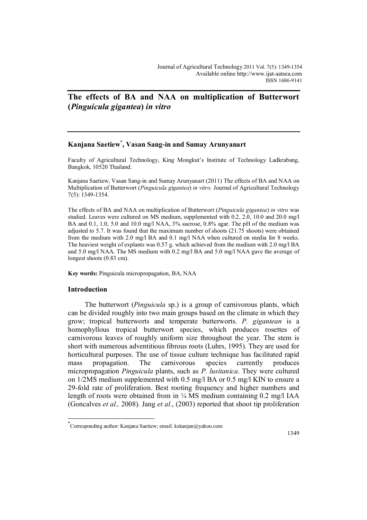# **The effects of BA and NAA on multiplication of Butterwort (***Pinguicula gigantea***)** *in vitro*

# **Kanjana Saetiew\* , Vasan Sang-in and Sumay Arunyanart**

Faculty of Agricultural Technology, King Mongkut's Institute of Technology Ladkrabang, Bangkok, 10520 Thailand.

Kanjana Saetiew, Vasan Sang-in and Sumay Arunyanart (2011) The effects of BA and NAA on Multiplication of Butterwort (*Pinguicula gigantea*) *in vitro.* Journal of Agricultural Technology 7(5): 1349-1354.

The effects of BA and NAA on multiplication of Butterwort (*Pinguicula gigantea*) *in vitro* was studied. Leaves were cultured on MS medium, supplemented with 0.2, 2.0, 10.0 and 20.0 mg/l BA and 0.1, 1.0, 5.0 and 10.0 mg/l NAA, 3% sucrose, 0.8% agar. The pH of the medium was adjusted to 5.7. It was found that the maximum number of shoots (21.75 shoots) were obtained from the medium with 2.0 mg/l BA and 0.1 mg/l NAA when cultured on media for 8 weeks. The heaviest weight of explants was 0.57 g. which achieved from the medium with 2.0 mg/l BA and 5.0 mg/l NAA. The MS medium with 0.2 mg/l BA and 5.0 mg/l NAA gave the average of longest shoots  $(0.83$  cm).

**Key words:** Pinguicula micropropagation, BA, NAA

### **Introduction**

 $\overline{\phantom{a}}$ 

The butterwort (*Pinguicula* sp.) is a group of carnivorous plants, which can be divided roughly into two main groups based on the climate in which they grow; tropical butterworts and temperate butterworts. *P. gigantean* is a homophyllous tropical butterwort species, which produces rosettes of carnivorous leaves of roughly uniform size throughout the year. The stem is short with numerous adventitious fibrous roots (Luhrs, 1995). They are used for horticultural purposes. The use of tissue culture technique has facilitated rapid mass propagation. The carnivorous species currently produces micropropagation *Pinguicula* plants, such as *P. lusitanica*. They were cultured on 1/2MS medium supplemented with 0.5 mg/l BA or 0.5 mg/l KIN to ensure a 29-fold rate of proliferation. Best rooting frequency and higher numbers and length of roots were obtained from in ¼ MS medium containing 0.2 mg/l IAA (Goncalves *et al.,* 2008). Jang *et al.*, (2003) reported that shoot tip proliferation

<sup>\*</sup> Corresponding author: Kanjana Saetiew; email: kskanjan@yahoo.com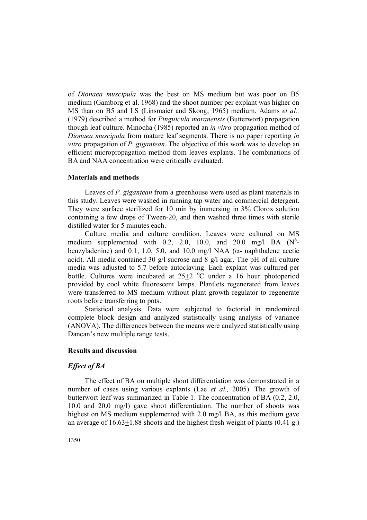of *Dionaea muscipula* was the best on MS medium but was poor on B5 medium (Gamborg et al. 1968) and the shoot number per explant was higher on MS than on B5 and LS (Linsmaier and Skoog, 1965) medium. Adams *et al.,* (1979) described a method for *Pinguicula moranensis* (Butterwort) propagation though leaf culture. Minocha (1985) reported an *in vitro* propagation method of *Dionaea muscipula* from mature leaf segments. There is no paper reporting *in vitro* propagation of *P. gigantean.* The objective of this work was to develop an efficient micropropagation method from leaves explants. The combinations of BA and NAA concentration were critically evaluated.

### **Materials and methods**

Leaves of *P. gigantean* from a greenhouse were used as plant materials in this study. Leaves were washed in running tap water and commercial detergent. They were surface sterilized for 10 min by immersing in 3% Clorox solution containing a few drops of Tween-20, and then washed three times with sterile distilled water for 5 minutes each.

Culture media and culture condition. Leaves were cultured on MS medium supplemented with 0.2, 2.0, 10.0, and 20.0 mg/l BA  $(N^6$ benzyladenine) and 0.1, 1.0, 5.0, and 10.0 mg/l NAA ( $\alpha$ - naphthalene acetic acid). All media contained 30 g/l sucrose and 8 g/l agar. The pH of all culture media was adjusted to 5.7 before autoclaving. Each explant was cultured per bottle. Cultures were incubated at  $25+2$  °C under a 16 hour photoperiod provided by cool white fluorescent lamps. Plantlets regenerated from leaves were transferred to MS medium without plant growth regulator to regenerate roots before transferring to pots.

Statistical analysis. Data were subjected to factorial in randomized complete block design and analyzed statistically using analysis of variance (ANOVA). The differences between the means were analyzed statistically using Dancan's new multiple range tests.

## **Results and discussion**

### *Effect of BA*

The effect of BA on multiple shoot differentiation was demonstrated in a number of cases using various explants (Lae *et al.,* 2005). The growth of butterwort leaf was summarized in Table 1. The concentration of BA (0.2, 2.0, 10.0 and 20.0 mg/l) gave shoot differentiation. The number of shoots was highest on MS medium supplemented with 2.0 mg/l BA, as this medium gave an average of  $16.63+1.88$  shoots and the highest fresh weight of plants  $(0.41 \text{ g.})$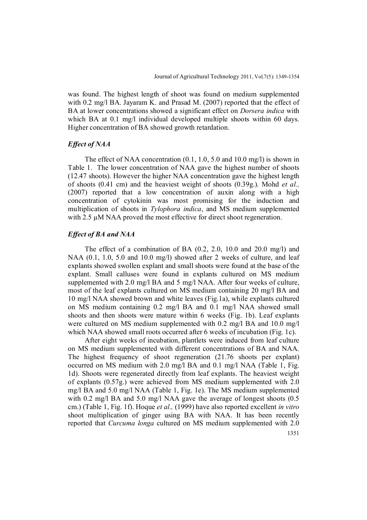was found. The highest length of shoot was found on medium supplemented with 0.2 mg/l BA. Jayaram K. and Prasad M. (2007) reported that the effect of BA at lower concentrations showed a significant effect on *Dorsera indica* with which BA at 0.1 mg/l individual developed multiple shoots within 60 days. Higher concentration of BA showed growth retardation.

## *Effect of NAA*

The effect of NAA concentration (0.1, 1.0, 5.0 and 10.0 mg/l) is shown in Table 1. The lower concentration of NAA gave the highest number of shoots (12.47 shoots). However the higher NAA concentration gave the highest length of shoots (0.41 cm) and the heaviest weight of shoots (0.39g.). Mohd *et al.,* (2007) reported that a low concentration of auxin along with a high concentration of cytokinin was most promising for the induction and multiplication of shoots in *Tylophora indica*, and MS medium supplemented with 2.5  $\mu$ M NAA proved the most effective for direct shoot regeneration.

# *Effect of BA and NAA*

The effect of a combination of BA (0.2, 2.0, 10.0 and 20.0 mg/l) and NAA (0.1, 1.0, 5.0 and 10.0 mg/l) showed after 2 weeks of culture, and leaf explants showed swollen explant and small shoots were found at the base of the explant. Small calluses were found in explants cultured on MS medium supplemented with 2.0 mg/l BA and 5 mg/l NAA. After four weeks of culture, most of the leaf explants cultured on MS medium containing 20 mg/l BA and 10 mg/l NAA showed brown and white leaves (Fig.1a), while explants cultured on MS medium containing 0.2 mg/l BA and 0.1 mg/l NAA showed small shoots and then shoots were mature within 6 weeks (Fig. 1b). Leaf explants were cultured on MS medium supplemented with 0.2 mg/l BA and 10.0 mg/l which NAA showed small roots occurred after 6 weeks of incubation (Fig. 1c).

After eight weeks of incubation, plantlets were induced from leaf culture on MS medium supplemented with different concentrations of BA and NAA. The highest frequency of shoot regeneration (21.76 shoots per explant) occurred on MS medium with 2.0 mg/l BA and 0.1 mg/l NAA (Table 1, Fig. 1d). Shoots were regenerated directly from leaf explants. The heaviest weight of explants (0.57g.) were achieved from MS medium supplemented with 2.0 mg/l BA and 5.0 mg/l NAA (Table 1, Fig. 1e). The MS medium supplemented with 0.2 mg/l BA and 5.0 mg/l NAA gave the average of longest shoots  $(0.5)$ cm.) (Table 1, Fig. 1f). Hoque *et al.,* (1999) have also reported excellent *in vitro* shoot multiplication of ginger using BA with NAA. It has been recently reported that *Curcuma longa* cultured on MS medium supplemented with 2.0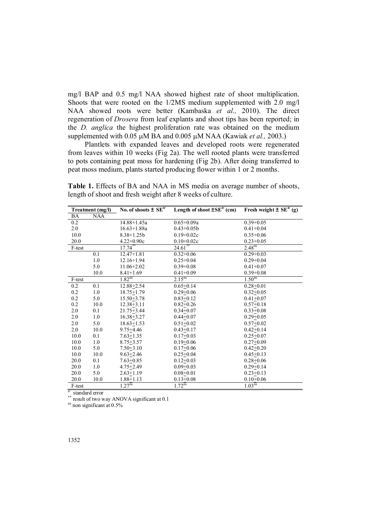mg/l BAP and 0.5 mg/l NAA showed highest rate of shoot multiplication. Shoots that were rooted on the 1/2MS medium supplemented with 2.0 mg/l NAA showed roots were better (Kambaska *et al.,* 2010). The direct regeneration of *Drosera* from leaf explants and shoot tips has been reported; in the *D. anglica* the highest proliferation rate was obtained on the medium supplemented with 0.05  $\mu$ M BA and 0.005  $\mu$ M NAA (Kawiak *et al.*, 2003.)

Plantlets with expanded leaves and developed roots were regenerated from leaves within 10 weeks (Fig 2a). The well rooted plants were transferred to pots containing peat moss for hardening (Fig 2b). After doing transferred to peat moss medium, plants started producing flower within 1 or 2 months.

| Treatment (mg/l) |            | No. of shoots $\pm$ SE <sup>a/</sup> | Length of shoot $\pm$ SE <sup>a</sup> $($ cm) | Fresh weight $\pm$ SE <sup>a</sup> <sup><math>'</math></sup> (g) |
|------------------|------------|--------------------------------------|-----------------------------------------------|------------------------------------------------------------------|
| BA               | <b>NAA</b> |                                      |                                               |                                                                  |
| 0.2              |            | 14.88+1.45a                          | $0.65 + 0.09a$                                | $0.39 + 0.05$                                                    |
| 2.0              |            | $16.63 + 1.88a$                      | $0.43 + 0.05b$                                | $0.41 + 0.04$                                                    |
| 10.0             |            | $8.38 + 1.25b$                       | $0.19 + 0.02c$                                | $0.35 + 0.06$                                                    |
| 20.0             |            | $4.22+0.90c$                         | $0.10+0.02c$                                  | $0.23 + 0.05$                                                    |
| F-test           |            | $17.74$ <sup>**</sup>                | $24.61$ <sup>**</sup>                         | 2.48 <sup>ns</sup>                                               |
|                  | 0.1        | $12.47 + 1.81$                       | $0.32 + 0.06$                                 | $0.29 + 0.03$                                                    |
|                  | 1.0        | $12.16 + 1.94$                       | $0.25 + 0.04$                                 | $0.29 + 0.04$                                                    |
|                  | 5.0        | $11.06 + 2.02$                       | $0.39 + 0.08$                                 | $0.41 + 0.07$                                                    |
|                  | 10.0       | $8.41 + 1.69$                        | $0.41 + 0.09$                                 | $0.39 + 0.08$                                                    |
| F-test           |            | $1.82^{ns}$                          | $2.15^{ns}$                                   | 1.50 <sup>ns</sup>                                               |
| 0.2              | 0.1        | $12.88 + 2.54$                       | $0.65 + 0.14$                                 | $0.28 + 0.01$                                                    |
| 0.2              | 1.0        | $18.75 + 1.79$                       | $0.29 + 0.06$                                 | $0.32 + 0.05$                                                    |
| $0.2\,$          | 5.0        | $15.50 + 3.78$                       | $0.83 + 0.12$                                 | $0.41 + 0.07$                                                    |
| 0.2              | 10.0       | $12.38 + 3.11$                       | $0.82 + 0.26$                                 | $0.57 + 0.18$                                                    |
| 2.0              | 0.1        | $21.75 + 3.44$                       | $0.34 + 0.07$                                 | $0.33 + 0.08$                                                    |
| 2.0              | 1.0        | $16.38 + 3.27$                       | $0.44 + 0.07$                                 | $0.29 + 0.05$                                                    |
| 2.0              | 5.0        | $18.63 + 1.53$                       | $0.51 + 0.02$                                 | $0.57 + 0.02$                                                    |
| 2.0              | 10.0       | $9.75 + 4.46$                        | $0.43 + 0.17$                                 | $0.42 + 0.14$                                                    |
| 10.0             | 0.1        | $7.63 + 1.35$                        | $0.17+0.03$                                   | $0.25 + 0.07$                                                    |
| 10.0             | 1.0        | $8.75 + 3.57$                        | $0.19 + 0.06$                                 | $0.27 + 0.09$                                                    |
| 10.0             | 5.0        | $7.50 + 3.10$                        | $0.17 + 0.06$                                 | $0.42 + 0.20$                                                    |
| 10.0             | 10.0       | $9.63 + 2.46$                        | $0.25 + 0.04$                                 | $0.45 + 0.13$                                                    |
| 20.0             | 0.1        | $7.63 + 0.85$                        | $0.12 + 0.03$                                 | $0.28 + 0.06$                                                    |
| 20.0             | 1.0        | $4.75 + 2.49$                        | $0.09 + 0.03$                                 | $0.29 + 0.14$                                                    |
| 20.0             | 5.0        | $2.63 + 1.19$                        | $0.08 + 0.01$                                 | $0.23 \pm 0.13$                                                  |
| 20.0             | 10.0       | $1.88 + 1.13$                        | $0.13 + 0.08$                                 | $0.10+0.06$                                                      |
| F-test           |            | $1.27^{ns}$                          | $1.72$ <sup>ns</sup>                          | 1.03 <sup>ns</sup>                                               |

**Table 1.** Effects of BA and NAA in MS media on average number of shoots, length of shoot and fresh weight after 8 weeks of culture.

a/ standard error

result of two way ANOVA significant at 0.1

<sup>ns</sup> non significant at 0.5%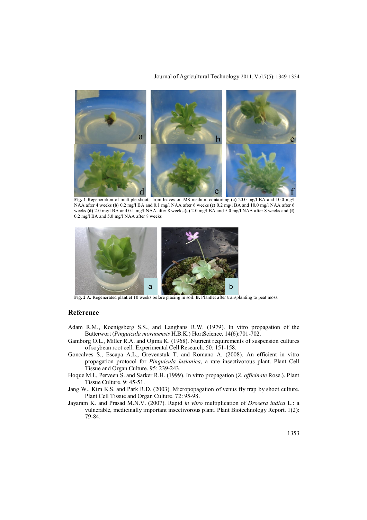#### Journal of Agricultural Technology 2011, Vol.7(5): 1349-1354



**Fig. 1** Regeneration of multiple shoots from leaves on MS medium containing **(a)** 20.0 mg/l BA and 10.0 mg/l NAA after 4 weeks **(b)** 0.2 mg/l BA and 0.1 mg/l NAA after 6 weeks **(c)** 0.2 mg/l BA and 10.0 mg/l NAA after 6 weeks **(d)** 2.0 mg/l BA and 0.1 mg/l NAA after 8 weeks **(e)** 2.0 mg/l BA and 5.0 mg/l NAA after 8 weeks and **(f)** 0.2 mg/l BA and 5.0 mg/l NAA after 8 weeks



**Fig. 2 A.** Regenerated plantlet 10 weeks before placing in soil. **B.** Plantlet after transplanting to peat moss.

#### **Reference**

- Adam R.M., Koenigsberg S.S., and Langhans R.W. (1979). In vitro propagation of the Butterwort (*Pinguicula moranensis* H.B.K.) HortScience. 14(6):701-702.
- Gamborg O.L., Miller R.A. and Ojima K. (1968). Nutrient requirements of suspension cultures of soybean root cell. Experimental Cell Research. 50: 151-158.
- Goncalves S., Escapa A.L., Grevenstuk T. and Romano A. (2008). An efficient in vitro propagation protocol for *Pinguicula lusianica*, a rare insectivorous plant. Plant Cell Tissue and Organ Culture. 95: 239-243.
- Hoque M.I., Perveen S. and Sarker R.H. (1999). In vitro propagation (*Z. officinate* Rose.). Plant Tissue Culture. 9: 45-51.
- Jang W., Kim K.S. and Park R.D. (2003). Micropopagation of venus fly trap by shoot culture. Plant Cell Tissue and Organ Culture. 72: 95-98.
- Jayaram K. and Prasad M.N.V. (2007). Rapid *in vitro* multiplication of *Drosera indica* L.: a vulnerable, medicinally important insectivorous plant. Plant Biotechnology Report. 1(2): 79-84.